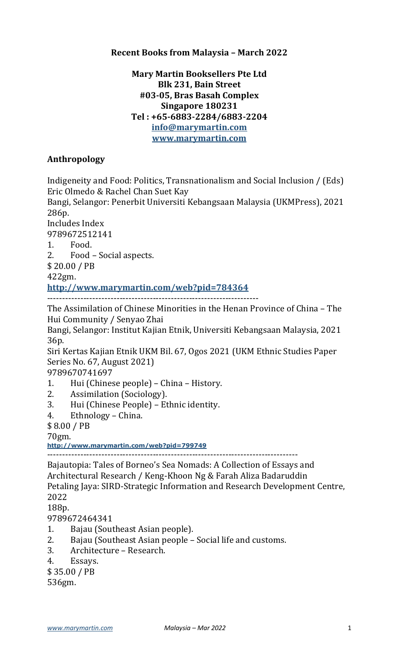### **Recent Books from Malaysia - March 2022**

## **Mary Martin Booksellers Pte Ltd Blk 231, Bain Street #03-05, Bras Basah Complex Singapore 180231 Tel : +65-6883-2284/6883-2204 info@marymartin.com www.marymartin.com**

## **Anthropology**

Indigeneity and Food: Politics, Transnationalism and Social Inclusion / (Eds) Eric Olmedo & Rachel Chan Suet Kay

Bangi, Selangor: Penerbit Universiti Kebangsaan Malaysia (UKMPress), 2021 286p.

Includes Index

9789672512141

1. Food.

2. Food - Social aspects.

\$ 20.00 / PB

422gm.

**http://www.marymartin.com/web?pid=784364**

----------------------------------------------------------------------

The Assimilation of Chinese Minorities in the Henan Province of China – The Hui Community / Senyao Zhai

Bangi, Selangor: Institut Kajian Etnik, Universiti Kebangsaan Malaysia, 2021 36p.

Siri Kertas Kajian Etnik UKM Bil. 67, Ogos 2021 (UKM Ethnic Studies Paper Series No. 67, August 2021)

9789670741697

- 1. Hui (Chinese people) China History.
- 2. Assimilation (Sociology).
- 3. Hui (Chinese People) Ethnic identity.
- 4. Ethnology China.

\$ 8.00 / PB

70gm.

**http://www.marymartin.com/web?pid=799749**

-----------------------------------------------------------------------------------

Bajautopia: Tales of Borneo's Sea Nomads: A Collection of Essays and Architectural Research / Keng-Khoon Ng & Farah Aliza Badaruddin Petaling Jaya: SIRD-Strategic Information and Research Development Centre, 2022

188p.

9789672464341

- 1. Bajau (Southeast Asian people).
- 2. Bajau (Southeast Asian people Social life and customs.
- 3. Architecture Research.
- 4. Essays.
- \$ 35.00 / PB

536gm.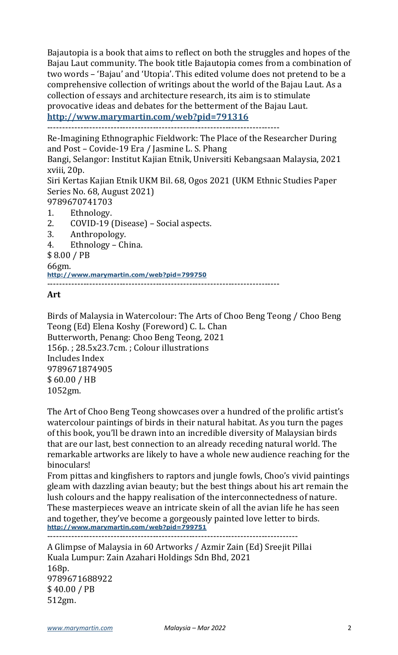Bajautopia is a book that aims to reflect on both the struggles and hopes of the Bajau Laut community. The book title Bajautopia comes from a combination of two words - 'Bajau' and 'Utopia'. This edited volume does not pretend to be a comprehensive collection of writings about the world of the Bajau Laut. As a collection of essays and architecture research, its aim is to stimulate provocative ideas and debates for the betterment of the Bajau Laut.

**http://www.marymartin.com/web?pid=791316**

-----------------------------------------------------------------------------

Re-Imagining Ethnographic Fieldwork: The Place of the Researcher During and Post - Covide-19 Era / Jasmine L. S. Phang

Bangi, Selangor: Institut Kajian Etnik, Universiti Kebangsaan Malaysia, 2021 xviii, 20p.

Siri Kertas Kajian Etnik UKM Bil. 68, Ogos 2021 (UKM Ethnic Studies Paper Series No. 68, August 2021)

- 9789670741703
- 1. Ethnology.
- 2. COVID-19 (Disease) Social aspects.
- 3. Anthropology.
- 4. Ethnology China.

\$ 8.00 / PB

66gm.

**http://www.marymartin.com/web?pid=799750**

-----------------------------------------------------------------------------

### **Art**

Birds of Malaysia in Watercolour: The Arts of Choo Beng Teong / Choo Beng Teong (Ed) Elena Koshy (Foreword) C. L. Chan Butterworth, Penang: Choo Beng Teong, 2021 156p.; 28.5x23.7cm.; Colour illustrations Includes Index 9789671874905 \$ 60.00 / HB 1052gm.

The Art of Choo Beng Teong showcases over a hundred of the prolific artist's watercolour paintings of birds in their natural habitat. As you turn the pages of this book, you'll be drawn into an incredible diversity of Malaysian birds that are our last, best connection to an already receding natural world. The remarkable artworks are likely to have a whole new audience reaching for the binoculars!

From pittas and kingfishers to raptors and jungle fowls, Choo's vivid paintings gleam with dazzling avian beauty; but the best things about his art remain the lush colours and the happy realisation of the interconnectedness of nature. These masterpieces weave an intricate skein of all the avian life he has seen and together, they've become a gorgeously painted love letter to birds. **http://www.marymartin.com/web?pid=799751**

-----------------------------------------------------------------------------------

A Glimpse of Malaysia in 60 Artworks / Azmir Zain (Ed) Sreejit Pillai Kuala Lumpur: Zain Azahari Holdings Sdn Bhd, 2021 168p. 9789671688922 \$ 40.00 / PB 512gm.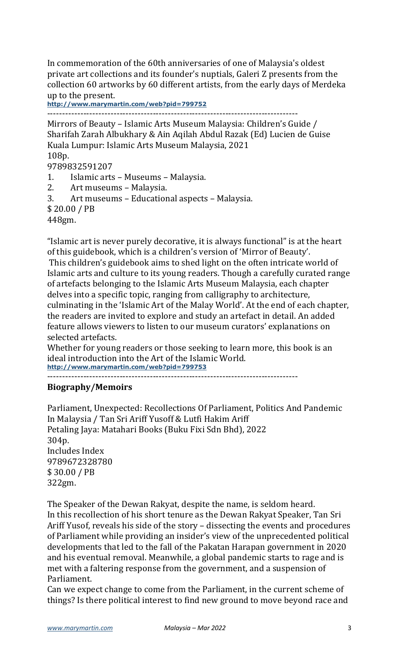In commemoration of the 60th anniversaries of one of Malaysia's oldest private art collections and its founder's nuptials, Galeri Z presents from the collection 60 artworks by 60 different artists, from the early days of Merdeka up to the present.

**http://www.marymartin.com/web?pid=799752**

-----------------------------------------------------------------------------------

Mirrors of Beauty – Islamic Arts Museum Malaysia: Children's Guide / Sharifah Zarah Albukhary & Ain Aqilah Abdul Razak (Ed) Lucien de Guise Kuala Lumpur: Islamic Arts Museum Malaysia, 2021 108p.

9789832591207

- 1. Islamic arts Museums Malaysia.
- 2. Art museums Malaysia.
- 3. Art museums Educational aspects Malaysia.

\$ 20.00 / PB

448gm.

"Islamic art is never purely decorative, it is always functional" is at the heart of this guidebook, which is a children's version of 'Mirror of Beauty'. This children's guidebook aims to shed light on the often intricate world of Islamic arts and culture to its young readers. Though a carefully curated range of artefacts belonging to the Islamic Arts Museum Malaysia, each chapter delves into a specific topic, ranging from calligraphy to architecture, culminating in the 'Islamic Art of the Malay World'. At the end of each chapter, the readers are invited to explore and study an artefact in detail. An added

feature allows viewers to listen to our museum curators' explanations on selected artefacts.

Whether for young readers or those seeking to learn more, this book is an ideal introduction into the Art of the Islamic World. **http://www.marymartin.com/web?pid=799753**

-----------------------------------------------------------------------------------

#### **Biography/Memoirs**

Parliament, Unexpected: Recollections Of Parliament, Politics And Pandemic In Malaysia / Tan Sri Ariff Yusoff & Lutfi Hakim Ariff Petaling Jaya: Matahari Books (Buku Fixi Sdn Bhd), 2022 304p. Includes Index 9789672328780 \$ 30.00 / PB 322gm.

The Speaker of the Dewan Rakyat, despite the name, is seldom heard. In this recollection of his short tenure as the Dewan Rakyat Speaker, Tan Sri Ariff Yusof, reveals his side of the story – dissecting the events and procedures of Parliament while providing an insider's view of the unprecedented political developments that led to the fall of the Pakatan Harapan government in 2020 and his eventual removal. Meanwhile, a global pandemic starts to rage and is met with a faltering response from the government, and a suspension of Parliament.

Can we expect change to come from the Parliament, in the current scheme of things? Is there political interest to find new ground to move beyond race and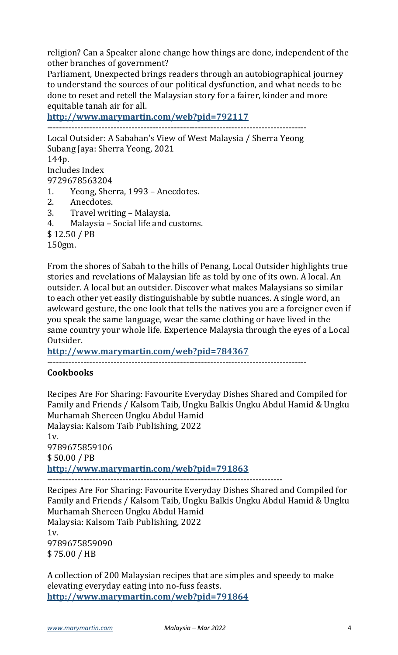religion? Can a Speaker alone change how things are done, independent of the other branches of government?

Parliament, Unexpected brings readers through an autobiographical journey to understand the sources of our political dysfunction, and what needs to be done to reset and retell the Malaysian story for a fairer, kinder and more equitable tanah air for all.

**http://www.marymartin.com/web?pid=792117**

-------------------------------------------------------------------------------------- Local Outsider: A Sabahan's View of West Malaysia / Sherra Yeong Subang Jaya: Sherra Yeong, 2021 144p. Includes Index 9729678563204 1. Yeong, Sherra, 1993 - Anecdotes. 2. Anecdotes. 3. Travel writing - Malaysia. 4. Malaysia – Social life and customs. \$ 12.50 / PB 150gm.

From the shores of Sabah to the hills of Penang, Local Outsider highlights true stories and revelations of Malaysian life as told by one of its own. A local. An outsider. A local but an outsider. Discover what makes Malaysians so similar to each other yet easily distinguishable by subtle nuances. A single word, an awkward gesture, the one look that tells the natives you are a foreigner even if you speak the same language, wear the same clothing or have lived in the same country your whole life. Experience Malaysia through the eyes of a Local Outsider.

**http://www.marymartin.com/web?pid=784367**

--------------------------------------------------------------------------------------

## **Cookbooks**

Recipes Are For Sharing: Favourite Everyday Dishes Shared and Compiled for Family and Friends / Kalsom Taib, Ungku Balkis Ungku Abdul Hamid & Ungku Murhamah Shereen Ungku Abdul Hamid Malaysia: Kalsom Taib Publishing, 2022  $1v<sub>1</sub>$ 9789675859106 \$ 50.00 / PB **http://www.marymartin.com/web?pid=791863** ------------------------------------------------------------------------------ Recipes Are For Sharing: Favourite Everyday Dishes Shared and Compiled for Family and Friends / Kalsom Taib, Ungku Balkis Ungku Abdul Hamid & Ungku Murhamah Shereen Ungku Abdul Hamid Malaysia: Kalsom Taib Publishing, 2022  $1v$ . 9789675859090

\$ 75.00 / HB 

A collection of 200 Malaysian recipes that are simples and speedy to make elevating everyday eating into no-fuss feasts. **http://www.marymartin.com/web?pid=791864**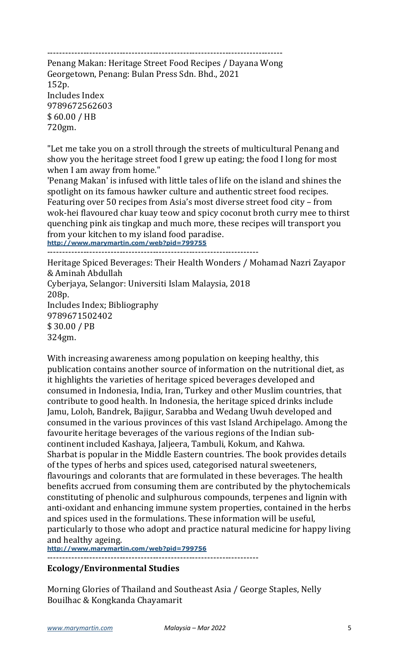------------------------------------------------------------------------------

Penang Makan: Heritage Street Food Recipes / Dayana Wong Georgetown, Penang: Bulan Press Sdn. Bhd., 2021 152p. Includes Index 9789672562603 \$ 60.00 / HB 720gm.

"Let me take you on a stroll through the streets of multicultural Penang and show you the heritage street food I grew up eating; the food I long for most when I am away from home."

'Penang Makan' is infused with little tales of life on the island and shines the spotlight on its famous hawker culture and authentic street food recipes. Featuring over 50 recipes from Asia's most diverse street food city - from wok-hei flavoured char kuay teow and spicy coconut broth curry mee to thirst quenching pink ais tingkap and much more, these recipes will transport you from your kitchen to my island food paradise. **http://www.marymartin.com/web?pid=799755**

----------------------------------------------------------------------

Heritage Spiced Beverages: Their Health Wonders / Mohamad Nazri Zayapor & Aminah Abdullah Cyberjaya, Selangor: Universiti Islam Malaysia, 2018 208p. Includes Index; Bibliography 9789671502402 \$ 30.00 / PB 324gm.

With increasing awareness among population on keeping healthy, this publication contains another source of information on the nutritional diet, as it highlights the varieties of heritage spiced beverages developed and consumed in Indonesia, India, Iran, Turkey and other Muslim countries, that contribute to good health. In Indonesia, the heritage spiced drinks include Jamu, Loloh, Bandrek, Bajigur, Sarabba and Wedang Uwuh developed and consumed in the various provinces of this vast Island Archipelago. Among the favourite heritage beverages of the various regions of the Indian subcontinent included Kashaya, Jaljeera, Tambuli, Kokum, and Kahwa. Sharbat is popular in the Middle Eastern countries. The book provides details of the types of herbs and spices used, categorised natural sweeteners, flavourings and colorants that are formulated in these beverages. The health benefits accrued from consuming them are contributed by the phytochemicals constituting of phenolic and sulphurous compounds, terpenes and lignin with anti-oxidant and enhancing immune system properties, contained in the herbs and spices used in the formulations. These information will be useful, particularly to those who adopt and practice natural medicine for happy living and healthy ageing.

**http://www.marymartin.com/web?pid=799756** ----------------------------------------------------------------------

# **Ecology/Environmental Studies**

Morning Glories of Thailand and Southeast Asia / George Staples, Nelly Bouilhac & Kongkanda Chayamarit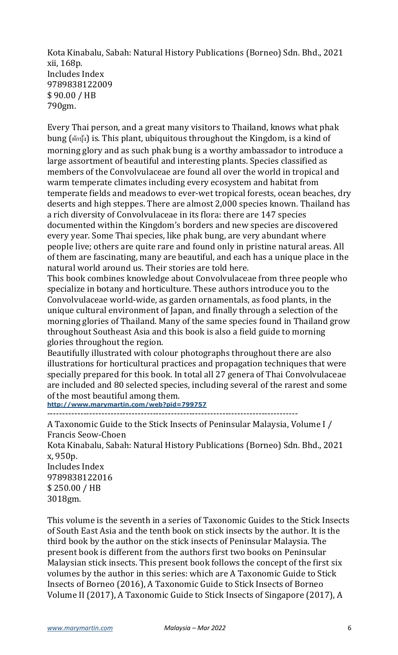Kota Kinabalu, Sabah: Natural History Publications (Borneo) Sdn. Bhd., 2021 xii, 168p. Includes Index 9789838122009 \$ 90.00 / HB 790gm.

Every Thai person, and a great many visitors to Thailand, knows what phak bung (ผักบุ้ง) is. This plant, ubiquitous throughout the Kingdom, is a kind of morning glory and as such phak bung is a worthy ambassador to introduce a large assortment of beautiful and interesting plants. Species classified as members of the Convolvulaceae are found all over the world in tropical and warm temperate climates including every ecosystem and habitat from temperate fields and meadows to ever-wet tropical forests, ocean beaches, dry deserts and high steppes. There are almost 2,000 species known. Thailand has a rich diversity of Convolvulaceae in its flora: there are 147 species documented within the Kingdom's borders and new species are discovered every year. Some Thai species, like phak bung, are very abundant where people live; others are quite rare and found only in pristine natural areas. All of them are fascinating, many are beautiful, and each has a unique place in the natural world around us. Their stories are told here.

This book combines knowledge about Convolvulaceae from three people who specialize in botany and horticulture. These authors introduce you to the Convolvulaceae world-wide, as garden ornamentals, as food plants, in the unique cultural environment of Japan, and finally through a selection of the morning glories of Thailand. Many of the same species found in Thailand grow throughout Southeast Asia and this book is also a field guide to morning glories throughout the region.

Beautifully illustrated with colour photographs throughout there are also illustrations for horticultural practices and propagation techniques that were specially prepared for this book. In total all 27 genera of Thai Convolvulaceae are included and 80 selected species, including several of the rarest and some of the most beautiful among them.

**http://www.marymartin.com/web?pid=799757**

-----------------------------------------------------------------------------------

A Taxonomic Guide to the Stick Insects of Peninsular Malaysia, Volume I / Francis Seow-Choen

Kota Kinabalu, Sabah: Natural History Publications (Borneo) Sdn. Bhd., 2021 x, 950p.

Includes Index 9789838122016 \$ 250.00 / HB 3018gm.

This volume is the seventh in a series of Taxonomic Guides to the Stick Insects of South East Asia and the tenth book on stick insects by the author. It is the third book by the author on the stick insects of Peninsular Malaysia. The present book is different from the authors first two books on Peninsular Malaysian stick insects. This present book follows the concept of the first six volumes by the author in this series: which are A Taxonomic Guide to Stick Insects of Borneo (2016), A Taxonomic Guide to Stick Insects of Borneo Volume II (2017), A Taxonomic Guide to Stick Insects of Singapore (2017), A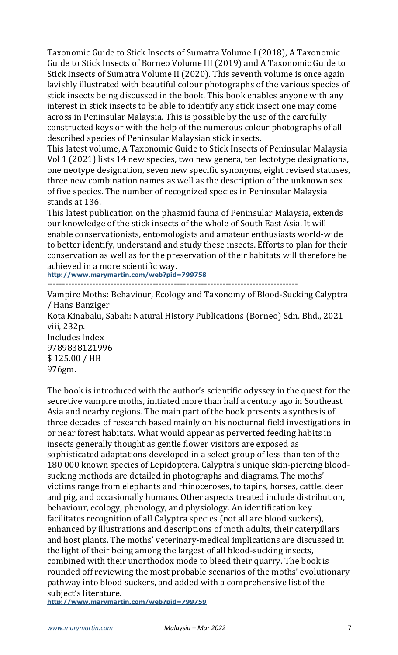Taxonomic Guide to Stick Insects of Sumatra Volume I (2018), A Taxonomic Guide to Stick Insects of Borneo Volume III (2019) and A Taxonomic Guide to Stick Insects of Sumatra Volume II (2020). This seventh volume is once again lavishly illustrated with beautiful colour photographs of the various species of stick insects being discussed in the book. This book enables anyone with any interest in stick insects to be able to identify any stick insect one may come across in Peninsular Malaysia. This is possible by the use of the carefully constructed keys or with the help of the numerous colour photographs of all described species of Peninsular Malaysian stick insects.

This latest volume, A Taxonomic Guide to Stick Insects of Peninsular Malaysia Vol 1 (2021) lists 14 new species, two new genera, ten lectotype designations, one neotype designation, seven new specific synonyms, eight revised statuses, three new combination names as well as the description of the unknown sex of five species. The number of recognized species in Peninsular Malaysia stands at 136.

This latest publication on the phasmid fauna of Peninsular Malaysia, extends our knowledge of the stick insects of the whole of South East Asia. It will enable conservationists, entomologists and amateur enthusiasts world-wide to better identify, understand and study these insects. Efforts to plan for their conservation as well as for the preservation of their habitats will therefore be achieved in a more scientific way.

**http://www.marymartin.com/web?pid=799758**

----------------------------------------------------------------------------------- Vampire Moths: Behaviour, Ecology and Taxonomy of Blood-Sucking Calyptra / Hans Banziger Kota Kinabalu, Sabah: Natural History Publications (Borneo) Sdn. Bhd., 2021 viii, 232p. Includes Index 9789838121996 \$ 125.00 / HB 976gm.

The book is introduced with the author's scientific odyssey in the quest for the secretive vampire moths, initiated more than half a century ago in Southeast Asia and nearby regions. The main part of the book presents a synthesis of three decades of research based mainly on his nocturnal field investigations in or near forest habitats. What would appear as perverted feeding habits in insects generally thought as gentle flower visitors are exposed as sophisticated adaptations developed in a select group of less than ten of the 180 000 known species of Lepidoptera. Calyptra's unique skin-piercing bloodsucking methods are detailed in photographs and diagrams. The moths' victims range from elephants and rhinoceroses, to tapirs, horses, cattle, deer and pig, and occasionally humans. Other aspects treated include distribution, behaviour, ecology, phenology, and physiology. An identification key facilitates recognition of all Calyptra species (not all are blood suckers), enhanced by illustrations and descriptions of moth adults, their caterpillars and host plants. The moths' veterinary-medical implications are discussed in the light of their being among the largest of all blood-sucking insects, combined with their unorthodox mode to bleed their quarry. The book is rounded off reviewing the most probable scenarios of the moths' evolutionary pathway into blood suckers, and added with a comprehensive list of the subject's literature.

**http://www.marymartin.com/web?pid=799759**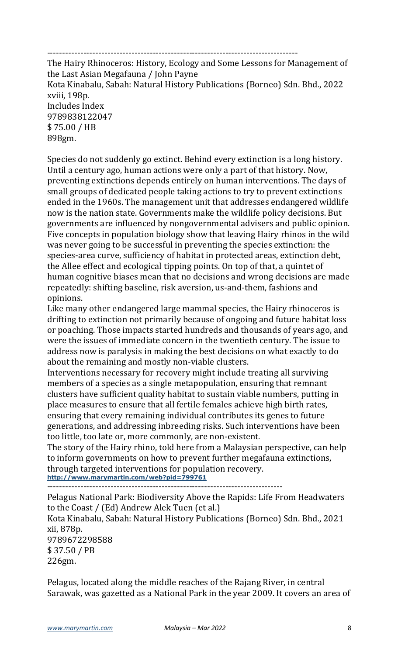-----------------------------------------------------------------------------------

The Hairy Rhinoceros: History, Ecology and Some Lessons for Management of the Last Asian Megafauna / John Payne Kota Kinabalu, Sabah: Natural History Publications (Borneo) Sdn. Bhd., 2022 xviii, 198p. Includes Index 9789838122047 \$ 75.00 / HB 898gm.

Species do not suddenly go extinct. Behind every extinction is a long history. Until a century ago, human actions were only a part of that history. Now, preventing extinctions depends entirely on human interventions. The days of small groups of dedicated people taking actions to try to prevent extinctions ended in the 1960s. The management unit that addresses endangered wildlife now is the nation state. Governments make the wildlife policy decisions. But governments are influenced by nongovernmental advisers and public opinion. Five concepts in population biology show that leaving Hairy rhinos in the wild was never going to be successful in preventing the species extinction: the species-area curve, sufficiency of habitat in protected areas, extinction debt, the Allee effect and ecological tipping points. On top of that, a quintet of human cognitive biases mean that no decisions and wrong decisions are made repeatedly: shifting baseline, risk aversion, us-and-them, fashions and opinions.

Like many other endangered large mammal species, the Hairy rhinoceros is drifting to extinction not primarily because of ongoing and future habitat loss or poaching. Those impacts started hundreds and thousands of years ago, and were the issues of immediate concern in the twentieth century. The issue to address now is paralysis in making the best decisions on what exactly to do about the remaining and mostly non-viable clusters.

Interventions necessary for recovery might include treating all surviving members of a species as a single metapopulation, ensuring that remnant clusters have sufficient quality habitat to sustain viable numbers, putting in place measures to ensure that all fertile females achieve high birth rates, ensuring that every remaining individual contributes its genes to future generations, and addressing inbreeding risks. Such interventions have been too little, too late or, more commonly, are non-existent.

The story of the Hairy rhino, told here from a Malaysian perspective, can help to inform governments on how to prevent further megafauna extinctions, through targeted interventions for population recovery. **http://www.marymartin.com/web?pid=799761**

------------------------------------------------------------------------------

Pelagus National Park: Biodiversity Above the Rapids: Life From Headwaters to the Coast / (Ed) Andrew Alek Tuen (et al.) Kota Kinabalu, Sabah: Natural History Publications (Borneo) Sdn. Bhd., 2021 xii, 878p. 9789672298588 \$ 37.50 / PB 226gm.

Pelagus, located along the middle reaches of the Rajang River, in central Sarawak, was gazetted as a National Park in the year 2009. It covers an area of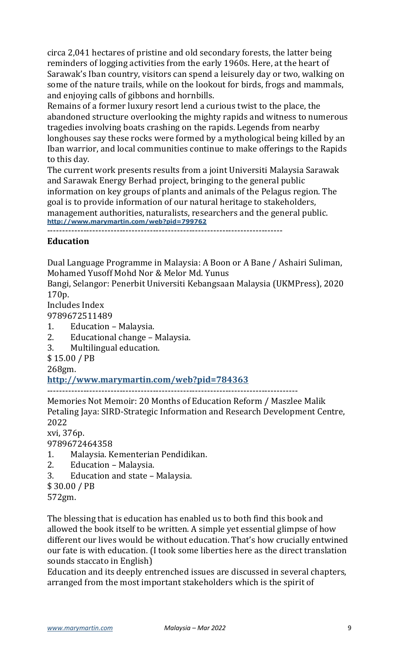circa 2,041 hectares of pristine and old secondary forests, the latter being reminders of logging activities from the early 1960s. Here, at the heart of Sarawak's Iban country, visitors can spend a leisurely day or two, walking on some of the nature trails, while on the lookout for birds, frogs and mammals, and enjoying calls of gibbons and hornbills.

Remains of a former luxury resort lend a curious twist to the place, the abandoned structure overlooking the mighty rapids and witness to numerous tragedies involving boats crashing on the rapids. Legends from nearby longhouses say these rocks were formed by a mythological being killed by an Iban warrior, and local communities continue to make offerings to the Rapids to this day.

The current work presents results from a joint Universiti Malaysia Sarawak and Sarawak Energy Berhad project, bringing to the general public information on key groups of plants and animals of the Pelagus region. The goal is to provide information of our natural heritage to stakeholders, management authorities, naturalists, researchers and the general public. **http://www.marymartin.com/web?pid=799762**

------------------------------------------------------------------------------

### **Education**

Dual Language Programme in Malaysia: A Boon or A Bane / Ashairi Suliman, Mohamed Yusoff Mohd Nor & Melor Md. Yunus

Bangi, Selangor: Penerbit Universiti Kebangsaan Malaysia (UKMPress), 2020 170p.

Includes Index 9789672511489

- 1. Education Malaysia.
- 2. Educational change Malaysia.
- 3. Multilingual education.

\$ 15.00 / PB

268gm.

**http://www.marymartin.com/web?pid=784363**

-----------------------------------------------------------------------------------

Memories Not Memoir: 20 Months of Education Reform / Maszlee Malik Petaling Jaya: SIRD-Strategic Information and Research Development Centre, 2022

xvi, 376p.

9789672464358

- 1. Malaysia. Kementerian Pendidikan.
- 2. Education Malaysia.
- 3. Education and state Malaysia.
- \$ 30.00 / PB
- 572gm.

The blessing that is education has enabled us to both find this book and allowed the book itself to be written. A simple yet essential glimpse of how different our lives would be without education. That's how crucially entwined our fate is with education. (I took some liberties here as the direct translation sounds staccato in English)

Education and its deeply entrenched issues are discussed in several chapters, arranged from the most important stakeholders which is the spirit of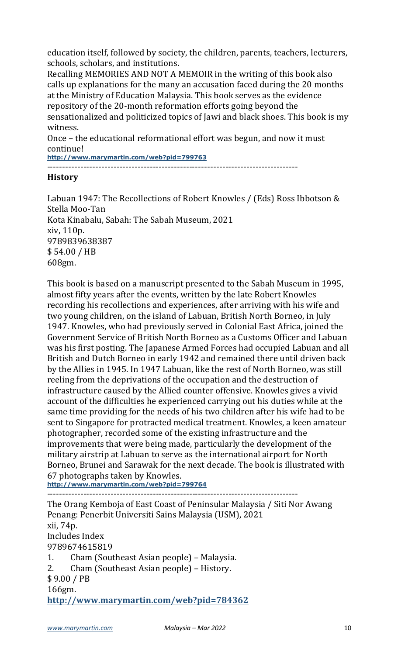education itself, followed by society, the children, parents, teachers, lecturers, schools, scholars, and institutions.

Recalling MEMORIES AND NOT A MEMOIR in the writing of this book also calls up explanations for the many an accusation faced during the 20 months at the Ministry of Education Malaysia. This book serves as the evidence repository of the 20-month reformation efforts going beyond the sensationalized and politicized topics of Jawi and black shoes. This book is my witness.

Once – the educational reformational effort was begun, and now it must continue!

**http://www.marymartin.com/web?pid=799763**

-----------------------------------------------------------------------------------

#### **History**

Labuan 1947: The Recollections of Robert Knowles / (Eds) Ross Ibbotson  $&$ Stella Moo-Tan Kota Kinabalu, Sabah: The Sabah Museum, 2021 xiv, 110p. 9789839638387 \$ 54.00 / HB 608gm.

This book is based on a manuscript presented to the Sabah Museum in 1995, almost fifty years after the events, written by the late Robert Knowles recording his recollections and experiences, after arriving with his wife and two young children, on the island of Labuan, British North Borneo, in July 1947. Knowles, who had previously served in Colonial East Africa, joined the Government Service of British North Borneo as a Customs Officer and Labuan was his first posting. The Japanese Armed Forces had occupied Labuan and all British and Dutch Borneo in early 1942 and remained there until driven back by the Allies in 1945. In 1947 Labuan, like the rest of North Borneo, was still reeling from the deprivations of the occupation and the destruction of infrastructure caused by the Allied counter offensive. Knowles gives a vivid account of the difficulties he experienced carrying out his duties while at the same time providing for the needs of his two children after his wife had to be sent to Singapore for protracted medical treatment. Knowles, a keen amateur photographer, recorded some of the existing infrastructure and the improvements that were being made, particularly the development of the military airstrip at Labuan to serve as the international airport for North Borneo, Brunei and Sarawak for the next decade. The book is illustrated with 67 photographs taken by Knowles.

**http://www.marymartin.com/web?pid=799764** -----------------------------------------------------------------------------------

The Orang Kemboja of East Coast of Peninsular Malaysia / Siti Nor Awang Penang: Penerbit Universiti Sains Malaysia (USM), 2021 xii, 74p. Includes Index 9789674615819 1. Cham (Southeast Asian people) – Malaysia. 2. Cham (Southeast Asian people) – History. \$ 9.00 / PB 166gm. **http://www.marymartin.com/web?pid=784362**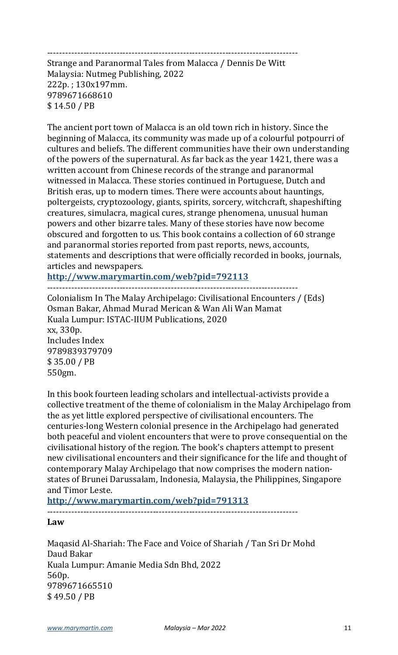## -----------------------------------------------------------------------------------

Strange and Paranormal Tales from Malacca / Dennis De Witt Malaysia: Nutmeg Publishing, 2022 222p.; 130x197mm. 9789671668610 \$ 14.50 / PB

The ancient port town of Malacca is an old town rich in history. Since the beginning of Malacca, its community was made up of a colourful potpourri of cultures and beliefs. The different communities have their own understanding of the powers of the supernatural. As far back as the year 1421, there was a written account from Chinese records of the strange and paranormal witnessed in Malacca. These stories continued in Portuguese, Dutch and British eras, up to modern times. There were accounts about hauntings, poltergeists, cryptozoology, giants, spirits, sorcery, witchcraft, shapeshifting creatures, simulacra, magical cures, strange phenomena, unusual human powers and other bizarre tales. Many of these stories have now become obscured and forgotten to us. This book contains a collection of 60 strange and paranormal stories reported from past reports, news, accounts, statements and descriptions that were officially recorded in books, journals, articles and newspapers.

**http://www.marymartin.com/web?pid=792113**

-----------------------------------------------------------------------------------

Colonialism In The Malay Archipelago: Civilisational Encounters / (Eds) Osman Bakar, Ahmad Murad Merican & Wan Ali Wan Mamat Kuala Lumpur: ISTAC-IIUM Publications, 2020 xx, 330p. Includes Index 9789839379709 \$ 35.00 / PB 550gm.

In this book fourteen leading scholars and intellectual-activists provide a collective treatment of the theme of colonialism in the Malay Archipelago from the as yet little explored perspective of civilisational encounters. The centuries-long Western colonial presence in the Archipelago had generated both peaceful and violent encounters that were to prove consequential on the civilisational history of the region. The book's chapters attempt to present new civilisational encounters and their significance for the life and thought of contemporary Malay Archipelago that now comprises the modern nationstates of Brunei Darussalam, Indonesia, Malaysia, the Philippines, Singapore and Timor Leste.

**http://www.marymartin.com/web?pid=791313**

-----------------------------------------------------------------------------------

**Law**

Maqasid Al-Shariah: The Face and Voice of Shariah / Tan Sri Dr Mohd Daud Bakar Kuala Lumpur: Amanie Media Sdn Bhd, 2022 560p. 9789671665510 \$ 49.50 / PB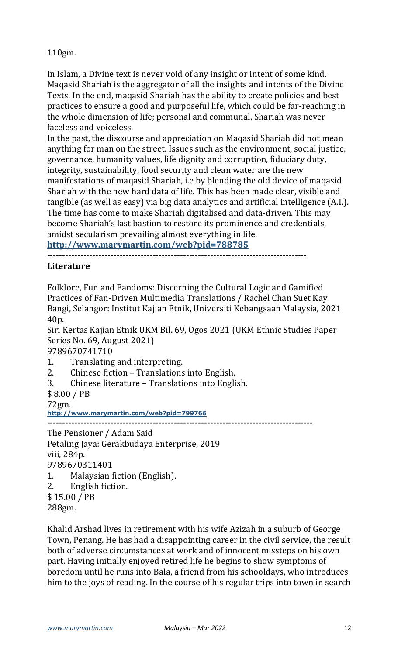110gm.

In Islam, a Divine text is never void of any insight or intent of some kind. Maqasid Shariah is the aggregator of all the insights and intents of the Divine Texts. In the end, magasid Shariah has the ability to create policies and best practices to ensure a good and purposeful life, which could be far-reaching in the whole dimension of life; personal and communal. Shariah was never faceless and voiceless.

In the past, the discourse and appreciation on Maqasid Shariah did not mean anything for man on the street. Issues such as the environment, social justice, governance, humanity values, life dignity and corruption, fiduciary duty, integrity, sustainability, food security and clean water are the new manifestations of magasid Shariah, i.e by blending the old device of magasid Shariah with the new hard data of life. This has been made clear, visible and tangible (as well as easy) via big data analytics and artificial intelligence (A.I.). The time has come to make Shariah digitalised and data-driven. This may become Shariah's last bastion to restore its prominence and credentials, amidst secularism prevailing almost everything in life.

**http://www.marymartin.com/web?pid=788785**

--------------------------------------------------------------------------------------

## **Literature**

Folklore, Fun and Fandoms: Discerning the Cultural Logic and Gamified Practices of Fan-Driven Multimedia Translations / Rachel Chan Suet Kay Bangi, Selangor: Institut Kajian Etnik, Universiti Kebangsaan Malaysia, 2021 40p.

Siri Kertas Kajian Etnik UKM Bil. 69, Ogos 2021 (UKM Ethnic Studies Paper Series No. 69, August 2021)

9789670741710

- 1. Translating and interpreting.
- 2. Chinese fiction Translations into English.
- 3. Chinese literature Translations into English.
- \$ 8.00 / PB

72gm.

**http://www.marymartin.com/web?pid=799766**

----------------------------------------------------------------------------------------

The Pensioner / Adam Said Petaling Jaya: Gerakbudaya Enterprise, 2019 viii, 284p. 9789670311401

- 1. Malaysian fiction (English).
- 2. English fiction.
- \$ 15.00 / PB

288gm.

Khalid Arshad lives in retirement with his wife Azizah in a suburb of George Town, Penang. He has had a disappointing career in the civil service, the result both of adverse circumstances at work and of innocent missteps on his own part. Having initially enjoyed retired life he begins to show symptoms of boredom until he runs into Bala, a friend from his schooldays, who introduces him to the joys of reading. In the course of his regular trips into town in search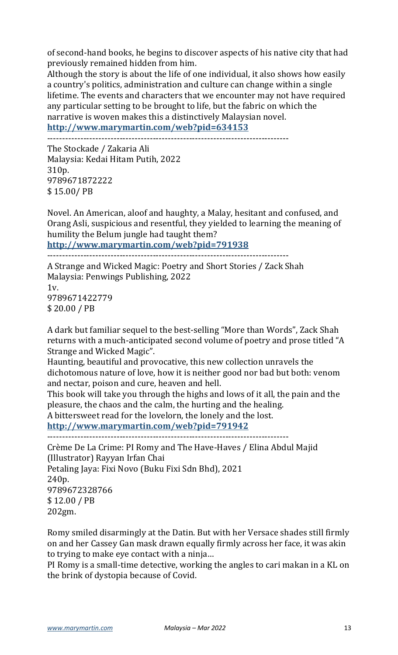of second-hand books, he begins to discover aspects of his native city that had previously remained hidden from him.

Although the story is about the life of one individual, it also shows how easily a country's politics, administration and culture can change within a single lifetime. The events and characters that we encounter may not have required any particular setting to be brought to life, but the fabric on which the narrative is woven makes this a distinctively Malaysian novel. **http://www.marymartin.com/web?pid=634153**

--------------------------------------------------------------------------------

The Stockade / Zakaria Ali Malaysia: Kedai Hitam Putih, 2022 310p. 9789671872222 \$ 15.00/ PB

Novel. An American, aloof and haughty, a Malay, hesitant and confused, and Orang Asli, suspicious and resentful, they yielded to learning the meaning of humility the Belum jungle had taught them?

**http://www.marymartin.com/web?pid=791938**

--------------------------------------------------------------------------------

A Strange and Wicked Magic: Poetry and Short Stories / Zack Shah Malaysia: Penwings Publishing, 2022

 $1v$ . 9789671422779 \$ 20.00 / PB

A dark but familiar sequel to the best-selling "More than Words", Zack Shah returns with a much-anticipated second volume of poetry and prose titled "A Strange and Wicked Magic".

Haunting, beautiful and provocative, this new collection unravels the dichotomous nature of love, how it is neither good nor bad but both: venom and nectar, poison and cure, heaven and hell.

This book will take you through the highs and lows of it all, the pain and the pleasure, the chaos and the calm, the hurting and the healing.

A bittersweet read for the lovelorn, the lonely and the lost.

**http://www.marymartin.com/web?pid=791942**

--------------------------------------------------------------------------------

Crème De La Crime: PI Romy and The Have-Haves / Elina Abdul Majid (Illustrator) Rayyan Irfan Chai Petaling Jaya: Fixi Novo (Buku Fixi Sdn Bhd), 2021 240p. 9789672328766 \$ 12.00 / PB 202gm.

Romy smiled disarmingly at the Datin. But with her Versace shades still firmly on and her Cassey Gan mask drawn equally firmly across her face, it was akin to trying to make eye contact with a ninja...

PI Romy is a small-time detective, working the angles to cari makan in a KL on the brink of dystopia because of Covid.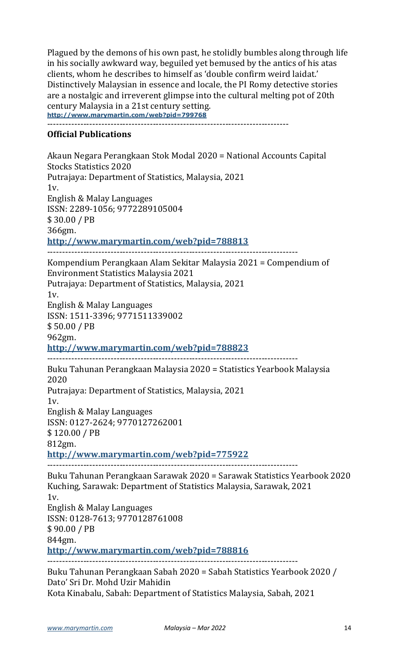Plagued by the demons of his own past, he stolidly bumbles along through life in his socially awkward way, beguiled yet bemused by the antics of his atas clients, whom he describes to himself as 'double confirm weird laidat.' Distinctively Malaysian in essence and locale, the PI Romy detective stories are a nostalgic and irreverent glimpse into the cultural melting pot of 20th century Malaysia in a 21st century setting. **http://www.marymartin.com/web?pid=799768**

--------------------------------------------------------------------------------

#### **Official Publications**

Akaun Negara Perangkaan Stok Modal 2020 = National Accounts Capital Stocks Statistics 2020 Putrajaya: Department of Statistics, Malaysia, 2021 1v. English & Malay Languages ISSN: 2289-1056; 9772289105004  $$30.00 / PB$ 366gm. **http://www.marymartin.com/web?pid=788813** ----------------------------------------------------------------------------------- Kompendium Perangkaan Alam Sekitar Malaysia 2021 = Compendium of Environment Statistics Malaysia 2021 Putrajaya: Department of Statistics, Malaysia, 2021 1v. English & Malay Languages ISSN: 1511-3396; 9771511339002 \$ 50.00 / PB 962gm. **http://www.marymartin.com/web?pid=788823** ----------------------------------------------------------------------------------- Buku Tahunan Perangkaan Malaysia 2020 = Statistics Yearbook Malaysia 2020 Putrajaya: Department of Statistics, Malaysia, 2021  $1v<sub>l</sub>$ English & Malay Languages ISSN: 0127-2624; 9770127262001 \$120.00 / PB 812gm. **http://www.marymartin.com/web?pid=775922** ----------------------------------------------------------------------------------- Buku Tahunan Perangkaan Sarawak 2020 = Sarawak Statistics Yearbook 2020 Kuching, Sarawak: Department of Statistics Malaysia, Sarawak, 2021 1v. English & Malay Languages ISSN: 0128-7613; 9770128761008 \$ 90.00 / PB 844gm. **http://www.marymartin.com/web?pid=788816** ----------------------------------------------------------------------------------- Buku Tahunan Perangkaan Sabah 2020 = Sabah Statistics Yearbook 2020 / Dato' Sri Dr. Mohd Uzir Mahidin

Kota Kinabalu, Sabah: Department of Statistics Malaysia, Sabah, 2021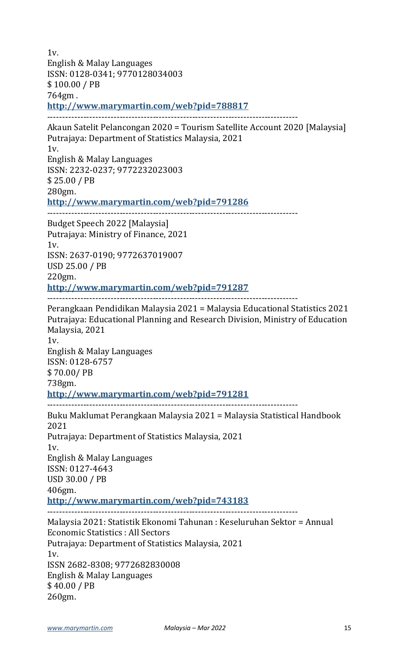1v. English & Malay Languages ISSN: 0128-0341; 9770128034003 \$100.00 / PB 764gm . **http://www.marymartin.com/web?pid=788817** ----------------------------------------------------------------------------------- Akaun Satelit Pelancongan 2020 = Tourism Satellite Account 2020 [Malaysia] Putrajaya: Department of Statistics Malaysia, 2021 1v. English & Malay Languages ISSN: 2232-0237; 9772232023003 \$ 25.00 / PB 280gm. **http://www.marymartin.com/web?pid=791286** ----------------------------------------------------------------------------------- Budget Speech 2022 [Malaysia] Putrajaya: Ministry of Finance, 2021 1v. ISSN: 2637-0190; 9772637019007 USD 25.00 / PB 220gm. **http://www.marymartin.com/web?pid=791287** ----------------------------------------------------------------------------------- Perangkaan Pendidikan Malaysia 2021 = Malaysia Educational Statistics 2021 Putrajaya: Educational Planning and Research Division, Ministry of Education Malaysia, 2021 1v. English & Malay Languages ISSN: 0128-6757 \$ 70.00/ PB 738gm. **http://www.marymartin.com/web?pid=791281** ----------------------------------------------------------------------------------- Buku Maklumat Perangkaan Malaysia 2021 = Malaysia Statistical Handbook 2021 Putrajaya: Department of Statistics Malaysia, 2021 1v. English & Malay Languages ISSN: 0127-4643 USD 30.00 / PB 406gm. **http://www.marymartin.com/web?pid=743183** ----------------------------------------------------------------------------------- Malaysia 2021: Statistik Ekonomi Tahunan : Keseluruhan Sektor = Annual Economic Statistics : All Sectors Putrajaya: Department of Statistics Malaysia, 2021  $1v$ ISSN 2682-8308; 9772682830008 English & Malay Languages  $$40.00 / PB$ 260gm.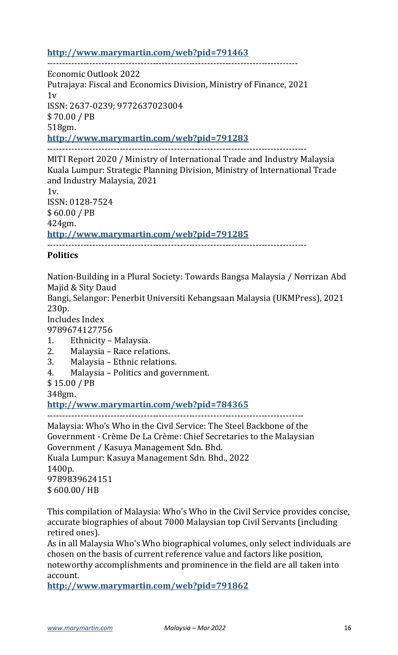### **http://www.marymartin.com/web?pid=791463**

----------------------------------------------------------------------------------- Economic Outlook 2022 Putrajaya: Fiscal and Economics Division, Ministry of Finance, 2021  $1v$ ISSN: 2637-0239; 9772637023004 \$ 70.00 / PB 518gm. **http://www.marymartin.com/web?pid=791283** --------------------------------------------------------------------------------------

MITI Report 2020 / Ministry of International Trade and Industry Malaysia Kuala Lumpur: Strategic Planning Division, Ministry of International Trade and Industry Malaysia, 2021  $1v.$ ISSN: 0128-7524

\$ 60.00 / PB 424gm. **http://www.marymartin.com/web?pid=791285** --------------------------------------------------------------------------------------

## **Politics**

Nation-Building in a Plural Society: Towards Bangsa Malaysia / Norrizan Abd Majid & Sity Daud

Bangi, Selangor: Penerbit Universiti Kebangsaan Malaysia (UKMPress), 2021 230p.

Includes Index

9789674127756

- 1. Ethnicity Malaysia.
- 2. Malaysia Race relations.
- 3. Malaysia Ethnic relations.
- 4. Malaysia Politics and government.

\$ 15.00 / PB

348gm.

**http://www.marymartin.com/web?pid=784365** -------------------------------------------------------------------------------------

Malaysia: Who's Who in the Civil Service: The Steel Backbone of the Government - Crème De La Crème: Chief Secretaries to the Malaysian Government / Kasuya Management Sdn. Bhd.

Kuala Lumpur: Kasuya Management Sdn. Bhd., 2022 1400p. 9789839624151 \$ 600.00/ HB

This compilation of Malaysia: Who's Who in the Civil Service provides concise, accurate biographies of about 7000 Malaysian top Civil Servants (including retired ones).

As in all Malaysia Who's Who biographical volumes, only select individuals are chosen on the basis of current reference value and factors like position, noteworthy accomplishments and prominence in the field are all taken into account.

**http://www.marymartin.com/web?pid=791862**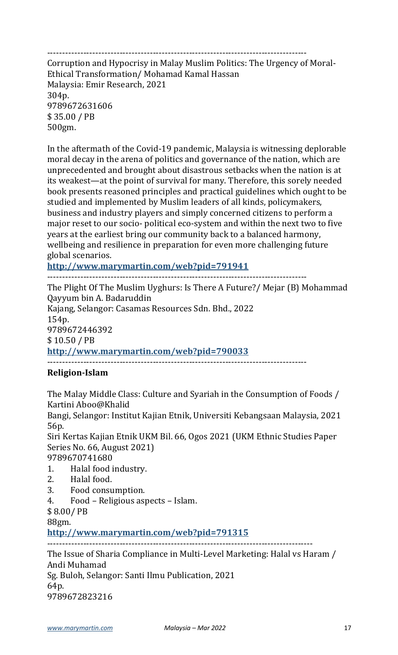--------------------------------------------------------------------------------------

Corruption and Hypocrisy in Malay Muslim Politics: The Urgency of Moral-Ethical Transformation/ Mohamad Kamal Hassan Malaysia: Emir Research, 2021 304p. 9789672631606 \$ 35.00 / PB 500gm.

In the aftermath of the Covid-19 pandemic, Malaysia is witnessing deplorable moral decay in the arena of politics and governance of the nation, which are unprecedented and brought about disastrous setbacks when the nation is at its weakest—at the point of survival for many. Therefore, this sorely needed book presents reasoned principles and practical guidelines which ought to be studied and implemented by Muslim leaders of all kinds, policymakers, business and industry players and simply concerned citizens to perform a major reset to our socio- political eco-system and within the next two to five years at the earliest bring our community back to a balanced harmony, wellbeing and resilience in preparation for even more challenging future global scenarios.

**http://www.marymartin.com/web?pid=791941**

--------------------------------------------------------------------------------------

The Plight Of The Muslim Uyghurs: Is There A Future?/ Mejar (B) Mohammad Qayyum bin A. Badaruddin Kajang, Selangor: Casamas Resources Sdn. Bhd., 2022 154p. 9789672446392 \$ 10.50 / PB **http://www.marymartin.com/web?pid=790033** --------------------------------------------------------------------------------------

## **Religion-Islam**

The Malay Middle Class: Culture and Syariah in the Consumption of Foods / Kartini Aboo@Khalid

Bangi, Selangor: Institut Kajian Etnik, Universiti Kebangsaan Malaysia, 2021 56p.

Siri Kertas Kajian Etnik UKM Bil. 66, Ogos 2021 (UKM Ethnic Studies Paper Series No. 66, August 2021)

9789670741680

- 1. Halal food industry.
- 2. Halal food.
- 3. Food consumption.
- 4. Food Religious aspects Islam.

\$ 8.00/ PB

88gm.

**http://www.marymartin.com/web?pid=791315**

---------------------------------------------------------------------------------------- The Issue of Sharia Compliance in Multi-Level Marketing: Halal vs Haram / Andi Muhamad Sg. Buloh, Selangor: Santi Ilmu Publication, 2021 64p.

9789672823216